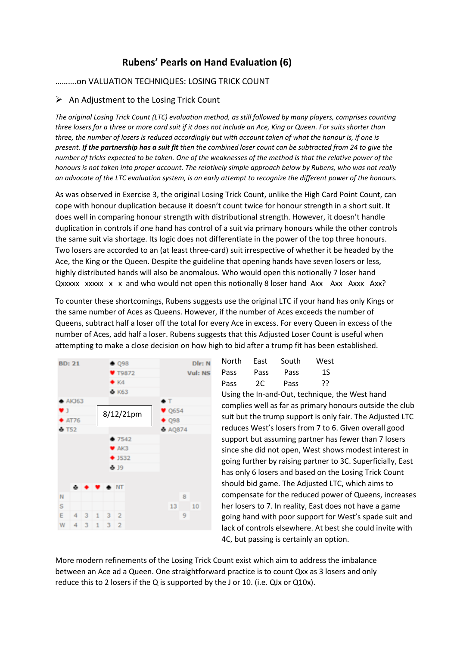## **Rubens' Pearls on Hand Evaluation (6)**

## ……….on VALUATION TECHNIQUES: LOSING TRICK COUNT

## $\triangleright$  An Adiustment to the Losing Trick Count

*The original Losing Trick Count (LTC) evaluation method, as still followed by many players, comprises counting three losers for a three or more card suit if it does not include an Ace, King or Queen. For suits shorter than three, the number of losers is reduced accordingly but with account taken of what the honour is, if one is present. If the partnership has a suit fit then the combined loser count can be subtracted from 24 to give the number of tricks expected to be taken. One of the weaknesses of the method is that the relative power of the honours is not taken into proper account. The relatively simple approach below by Rubens, who was not really an advocate of the LTC evaluation system, is an early attempt to recognize the different power of the honours.* 

As was observed in Exercise 3, the original Losing Trick Count, unlike the High Card Point Count, can cope with honour duplication because it doesn't count twice for honour strength in a short suit. It does well in comparing honour strength with distributional strength. However, it doesn't handle duplication in controls if one hand has control of a suit via primary honours while the other controls the same suit via shortage. Its logic does not differentiate in the power of the top three honours. Two losers are accorded to an (at least three-card) suit irrespective of whether it be headed by the Ace, the King or the Queen. Despite the guideline that opening hands have seven losers or less, highly distributed hands will also be anomalous. Who would open this notionally 7 loser hand Qxxxxx xxxxx x x and who would not open this notionally 8 loser hand Axx Axx Axxx Axx?

To counter these shortcomings, Rubens suggests use the original LTC if your hand has only Kings or the same number of Aces as Queens. However, if the number of Aces exceeds the number of Queens, subtract half a loser off the total for every Ace in excess. For every Queen in excess of the number of Aces, add half a loser. Rubens suggests that this Adjusted Loser Count is useful when attempting to make a close decision on how high to bid after a trump fit has been established.



| North | East | South | West |
|-------|------|-------|------|
| Pass  | Pass | Pass  | 1S   |
| Pass  | 2C   | Pass  | 77   |

Using the In-and-Out, technique, the West hand complies well as far as primary honours outside the club suit but the trump support is only fair. The Adjusted LTC reduces West's losers from 7 to 6. Given overall good support but assuming partner has fewer than 7 losers since she did not open, West shows modest interest in going further by raising partner to 3C. Superficially, East has only 6 losers and based on the Losing Trick Count should bid game. The Adjusted LTC, which aims to compensate for the reduced power of Queens, increases her losers to 7. In reality, East does not have a game going hand with poor support for West's spade suit and lack of controls elsewhere. At best she could invite with 4C, but passing is certainly an option.

More modern refinements of the Losing Trick Count exist which aim to address the imbalance between an Ace ad a Queen. One straightforward practice is to count Qxx as 3 losers and only reduce this to 2 losers if the Q is supported by the J or 10. (i.e. QJx or Q10x).